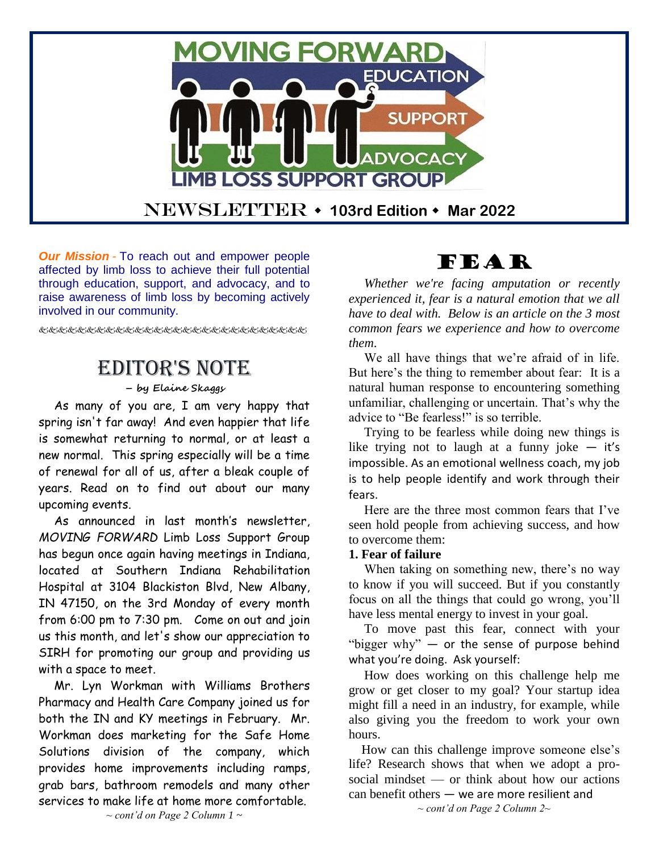

*Our Mission* - To reach out and empower people affected by limb loss to achieve their full potential through education, support, and advocacy, and to raise awareness of limb loss by becoming actively involved in our community.

# Editor's Note

#### **– by Elaine Skaggs**

As many of you are, I am very happy that spring isn't far away! And even happier that life is somewhat returning to normal, or at least a new normal. This spring especially will be a time of renewal for all of us, after a bleak couple of years. Read on to find out about our many upcoming events.

As announced in last month's newsletter, *MOVING FORWARD* Limb Loss Support Group has begun once again having meetings in Indiana, located at Southern Indiana Rehabilitation Hospital at 3104 Blackiston Blvd, New Albany, IN 47150, on the 3rd Monday of every month from 6:00 pm to 7:30 pm. Come on out and join us this month, and let's show our appreciation to SIRH for promoting our group and providing us with a space to meet.

Mr. Lyn Workman with Williams Brothers Pharmacy and Health Care Company joined us for both the IN and KY meetings in February. Mr. Workman does marketing for the Safe Home Solutions division of the company, which provides home improvements including ramps, grab bars, bathroom remodels and many other services to make life at home more comfortable.

# FEAR

*Whether we're facing amputation or recently experienced it, fear is a natural emotion that we all have to deal with. Below is an article on the 3 most common fears we experience and how to overcome them*.

We all have things that we're afraid of in life. But here's the thing to remember about fear: It is a natural human response to encountering something unfamiliar, challenging or uncertain. That's why the advice to "Be fearless!" is so terrible.

Trying to be fearless while doing new things is like trying not to laugh at a funny joke  $-$  it's impossible. As an emotional wellness coach, my job is to help people identify and work through their fears.

Here are the three most common fears that I've seen hold people from achieving success, and how to overcome them:

#### **1. Fear of failure**

When taking on something new, there's no way to know if you will succeed. But if you constantly focus on all the things that could go wrong, you'll have less mental energy to invest in your goal.

To move past this fear, connect with your "bigger why"  $-$  or the sense of purpose behind what you're doing. Ask yourself:

How does working on this challenge help me grow or get closer to my goal? Your startup idea might fill a need in an industry, for example, while also giving you the freedom to work your own hours.

 How can this challenge improve someone else's life? Research shows that when we adopt a prosocial mindset — or think about how our actions can benefit others — we are more resilient and *~ cont'd on Page 2 Column 2~*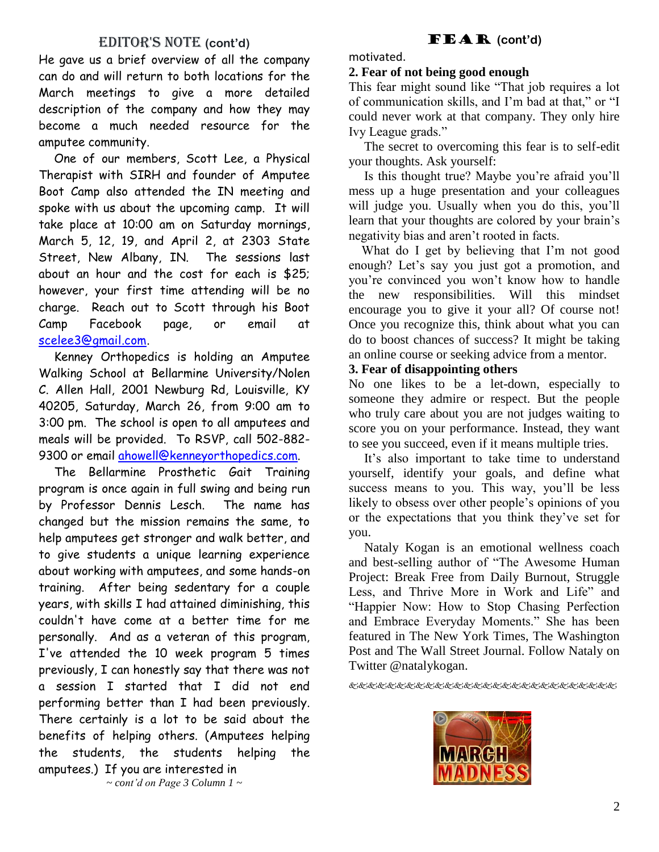### EDITOR'S NOTE (cont'd)

He gave us a brief overview of all the company can do and will return to both locations for the March meetings to give a more detailed description of the company and how they may become a much needed resource for the amputee community.

One of our members, Scott Lee, a Physical Therapist with SIRH and founder of Amputee Boot Camp also attended the IN meeting and spoke with us about the upcoming camp. It will take place at 10:00 am on Saturday mornings, March 5, 12, 19, and April 2, at 2303 State Street, New Albany, IN. The sessions last about an hour and the cost for each is \$25; however, your first time attending will be no charge. Reach out to Scott through his Boot Camp Facebook page, or email at [scelee3@gmail.com.](mailto:scelee3@gmail.com)

Kenney Orthopedics is holding an Amputee Walking School at Bellarmine University/Nolen C. Allen Hall, 2001 Newburg Rd, Louisville, KY 40205, Saturday, March 26, from 9:00 am to 3:00 pm. The school is open to all amputees and meals will be provided. To RSVP, call 502-882 9300 or email [ahowell@kenneyorthopedics.com.](mailto:ahowell@kenneyorthopedics.com)

The Bellarmine Prosthetic Gait Training program is once again in full swing and being run by Professor Dennis Lesch. The name has changed but the mission remains the same, to help amputees get stronger and walk better, and to give students a unique learning experience about working with amputees, and some hands-on training. After being sedentary for a couple years, with skills I had attained diminishing, this couldn't have come at a better time for me personally. And as a veteran of this program, I've attended the 10 week program 5 times previously, I can honestly say that there was not a session I started that I did not end performing better than I had been previously. There certainly is a lot to be said about the benefits of helping others. (Amputees helping the students, the students helping the amputees.) If you are interested in

FEAR **(cont'd)** motivated.

#### **2. Fear of not being good enough**

This fear might sound like "That job requires a lot of communication skills, and I'm bad at that," or "I could never work at that company. They only hire Ivy League grads."

The secret to overcoming this fear is to self-edit your thoughts. Ask yourself:

Is this thought true? Maybe you're afraid you'll mess up a huge presentation and your colleagues will judge you. Usually when you do this, you'll learn that your thoughts are colored by your brain's negativity bias and aren't rooted in facts.

 What do I get by believing that I'm not good enough? Let's say you just got a promotion, and you're convinced you won't know how to handle the new responsibilities. Will this mindset encourage you to give it your all? Of course not! Once you recognize this, think about what you can do to boost chances of success? It might be taking an online course or seeking advice from a mentor.

#### **3. Fear of disappointing others**

No one likes to be a let-down, especially to someone they admire or respect. But the people who truly care about you are not judges waiting to score you on your performance. Instead, they want to see you succeed, even if it means multiple tries.

It's also important to take time to understand yourself, identify your goals, and define what success means to you. This way, you'll be less likely to obsess over other people's opinions of you or the expectations that you think they've set for you.

Nataly Kogan is an emotional wellness coach and best-selling author of "The Awesome Human Project: Break Free from Daily Burnout, Struggle Less, and Thrive More in Work and Life" and "Happier Now: How to Stop Chasing Perfection and Embrace Everyday Moments." She has been featured in The New York Times, The Washington Post and The Wall Street Journal. Follow Nataly on Twitter @natalykogan.



*~ cont'd on Page 3 Column 1 ~*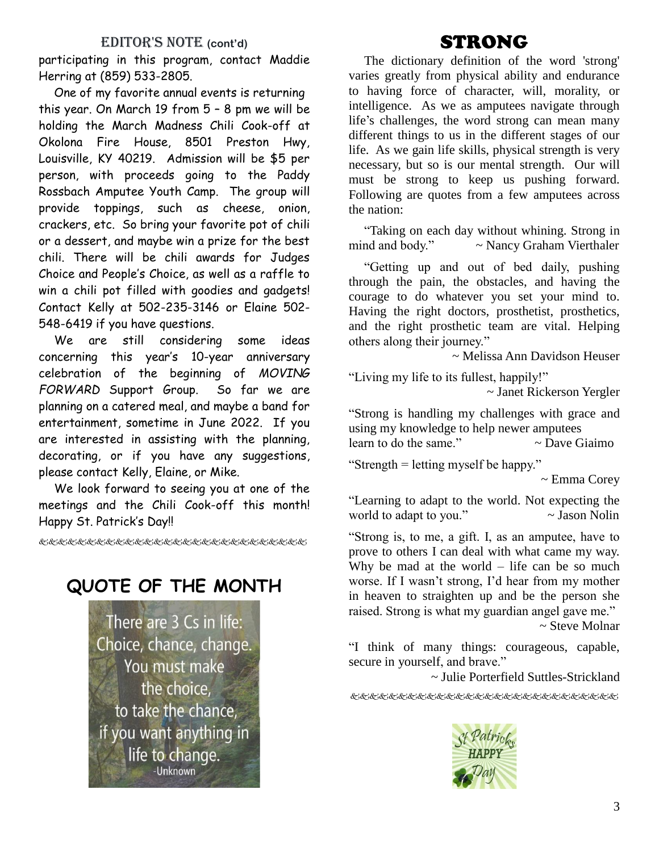### EDITOR'S NOTE (cont'd)

participating in this program, contact Maddie Herring at (859) 533-2805.

One of my favorite annual events is returning this year. On March 19 from 5 – 8 pm we will be holding the March Madness Chili Cook-off at Okolona Fire House, 8501 Preston Hwy, Louisville, KY 40219. Admission will be \$5 per person, with proceeds going to the Paddy Rossbach Amputee Youth Camp. The group will provide toppings, such as cheese, onion, crackers, etc. So bring your favorite pot of chili or a dessert, and maybe win a prize for the best chili. There will be chili awards for Judges Choice and People's Choice, as well as a raffle to win a chili pot filled with goodies and gadgets! Contact Kelly at 502-235-3146 or Elaine 502- 548-6419 if you have questions.

We are still considering some ideas concerning this year's 10-year anniversary celebration of the beginning of *MOVING FORWARD* Support Group. So far we are planning on a catered meal, and maybe a band for entertainment, sometime in June 2022. If you are interested in assisting with the planning, decorating, or if you have any suggestions, please contact Kelly, Elaine, or Mike.

We look forward to seeing you at one of the meetings and the Chili Cook-off this month! Happy St. Patrick's Day!!

使にはいににんどんどうどうせんじゅうどうしょう

### **QUOTE OF THE MONTH**

There are 3 Cs in life: Choice, chance, change. You must make the choice. to take the chance, if you want anything in life to change. -Unknown

# STRONG

The dictionary definition of the word 'strong' varies greatly from physical ability and endurance to having force of character, will, morality, or intelligence. As we as amputees navigate through life's challenges, the word strong can mean many different things to us in the different stages of our life. As we gain life skills, physical strength is very necessary, but so is our mental strength. Our will must be strong to keep us pushing forward. Following are quotes from a few amputees across the nation:

"Taking on each day without whining. Strong in mind and body." ~ Nancy Graham Vierthaler

"Getting up and out of bed daily, pushing through the pain, the obstacles, and having the courage to do whatever you set your mind to. Having the right doctors, prosthetist, prosthetics, and the right prosthetic team are vital. Helping others along their journey."

~ Melissa Ann Davidson Heuser

"Living my life to its fullest, happily!" ~ Janet Rickerson Yergler

"Strong is handling my challenges with grace and using my knowledge to help newer amputees

learn to do the same."  $\sim$  Dave Giaimo

"Strength = letting myself be happy."

~ Emma Corey

"Learning to adapt to the world. Not expecting the world to adapt to you." $\sim$  Jason Nolin

"Strong is, to me, a gift. I, as an amputee, have to prove to others I can deal with what came my way. Why be mad at the world  $-$  life can be so much worse. If I wasn't strong, I'd hear from my mother in heaven to straighten up and be the person she raised. Strong is what my guardian angel gave me."

~ Steve Molnar

"I think of many things: courageous, capable, secure in yourself, and brave."

~ Julie Porterfield Suttles-Strickland

&&&&&&&&&&&&&&&&&&&&&&&

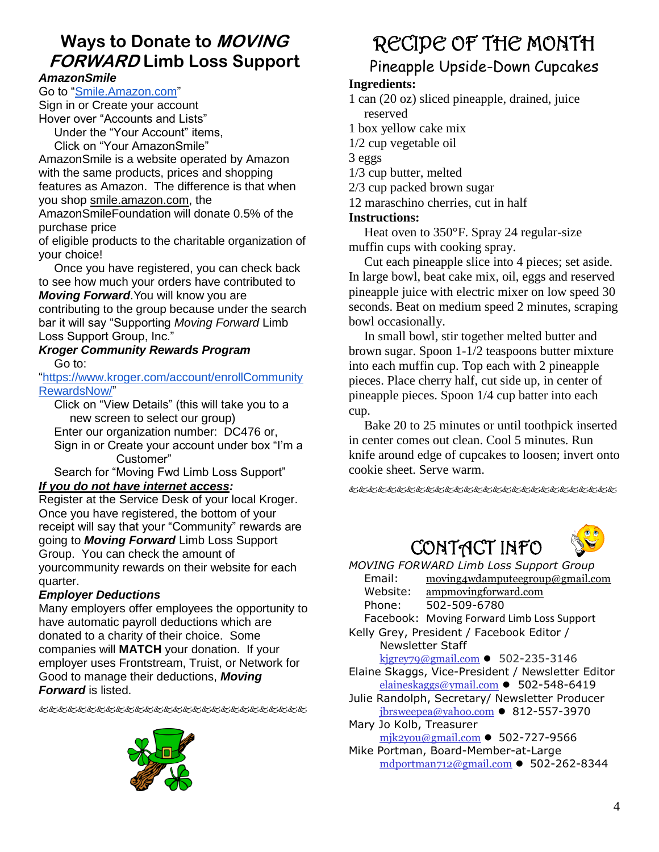## **Ways to Donate to MOVING FORWARD Limb Loss Support**

#### *AmazonSmile*

Go to ["Smile.Amazon.com"](https://smile.amazon.com/ap/signin?_encoding=UTF8&openid.assoc_handle=amzn_smile_mobile&openid.claimed_id=http%3A%2F%2Fspecs.openid.net%2Fauth%2F2.0%2Fidentifier_select&openid.identity=http%3A%2F%2Fspecs.openid.net%2Fauth%2F2.0%2Fidentifier_select&openid.mode=checkid_setup&openid.ns=http%3A%2F%2Fspecs.openid.net%2Fauth%2F2.0&openid.ns.pape=http%3A%2F%2Fspecs.openid.net%2Fextensions%2Fpape%2F1.0&openid.pape.max_auth_age=0&openid.return_to=https%3A%2F%2Fsmile.amazon.com%2Fgp%2Faw%2Fch%2Fhomepage)

Sign in or Create your account Hover over "Accounts and Lists"

Under the "Your Account" items, Click on "Your AmazonSmile"

AmazonSmile is a website operated by Amazon with the same products, prices and shopping features as Amazon. The difference is that when you shop smile.amazon.com, the

AmazonSmileFoundation will donate 0.5% of the purchase price

of eligible products to the charitable organization of your choice!

Once you have registered, you can check back to see how much your orders have contributed to *Moving Forward*.You will know you are contributing to the group because under the search bar it will say "Supporting *Moving Forward* Limb Loss Support Group, Inc."

#### *Kroger Community Rewards Program* Go to:

["https://www.kroger.com/account/enrollCommunity](https://www.kroger.com/account/enrollCommunityRewardsNow/) [RewardsNow/"](https://www.kroger.com/account/enrollCommunityRewardsNow/)

Click on "View Details" (this will take you to a new screen to select our group) Enter our organization number: DC476 or, Sign in or Create your account under box "I'm a Customer"

Search for "Moving Fwd Limb Loss Support" *If you do not have internet access:*

Register at the Service Desk of your local Kroger. Once you have registered, the bottom of your receipt will say that your "Community" rewards are going to *Moving Forward* Limb Loss Support Group. You can check the amount of yourcommunity rewards on their website for each quarter.

### *Employer Deductions*

Many employers offer employees the opportunity to have automatic payroll deductions which are donated to a charity of their choice. Some companies will **MATCH** your donation. If your employer uses Frontstream, Truist, or Network for Good to manage their deductions, *Moving Forward* is listed.

发达的比比比比比比比比比比比比比比比比比比比比比比



# RECIPE OF THE MONTH

## Pineapple Upside-Down Cupcakes

### **Ingredients:**

1 can (20 oz) sliced pineapple, drained, juice reserved

1 box yellow cake mix

1/2 cup vegetable oil

3 eggs

1/3 cup butter, melted

2/3 cup packed brown sugar

12 maraschino cherries, cut in half

#### **Instructions:**

Heat oven to 350°F. Spray 24 regular-size muffin cups with cooking spray.

Cut each pineapple slice into 4 pieces; set aside. In large bowl, beat cake mix, oil, eggs and reserved pineapple juice with electric mixer on low speed 30 seconds. Beat on medium speed 2 minutes, scraping bowl occasionally.

In small bowl, stir together melted butter and brown sugar. Spoon 1-1/2 teaspoons butter mixture into each muffin cup. Top each with 2 pineapple pieces. Place cherry half, cut side up, in center of pineapple pieces. Spoon 1/4 cup batter into each cup.

Bake 20 to 25 minutes or until toothpick inserted in center comes out clean. Cool 5 minutes. Run knife around edge of cupcakes to loosen; invert onto cookie sheet. Serve warm.

&&&&&&&&&&&&&&&&&&&&&&&





*MOVING FORWARD Limb Loss Support Group* Email: [moving4wdamputeegroup@gmail.com](http://us-mg6.mail.yahoo.com/yab-fe/mu/MainView?.src=neo&themeName=pink&bn=54_3093&s=0&pc=1&bucketId=0&stab=1383513823935/yab-fe/mu/MainView?.src=neo&themeName=pink&bn=54_3093&s=0&pc=1&bucketId=0&stab=1383513823937) Website: ampmovingforward.com Phone: 502-509-6780

Facebook: Moving Forward Limb Loss Support

Kelly Grey, President / Facebook Editor / Newsletter Staff

[kjgrey79@gmail.com](mailto:kjgrey79@gmail.com)  $\bullet$  502-235-3146

- Elaine Skaggs, Vice-President / Newsletter Editor [elaineskaggs@ymail.com](mailto:elaineskaggs@ymail.com) ⚫ 502-548-6419
- Julie Randolph, Secretary/ Newsletter Producer  $ibrsweepea@yahoo.com$   $\bullet$  812-557-3970
- Mary Jo Kolb, Treasurer [mjk2you@gmail.com](mailto:mjk2you@gmail.com) ⚫ 502-727-9566
- Mike Portman, Board-Member-at-Large [mdportman712@gmail.com](mailto:mdportman712@gmail.com) ⚫ 502-262-8344